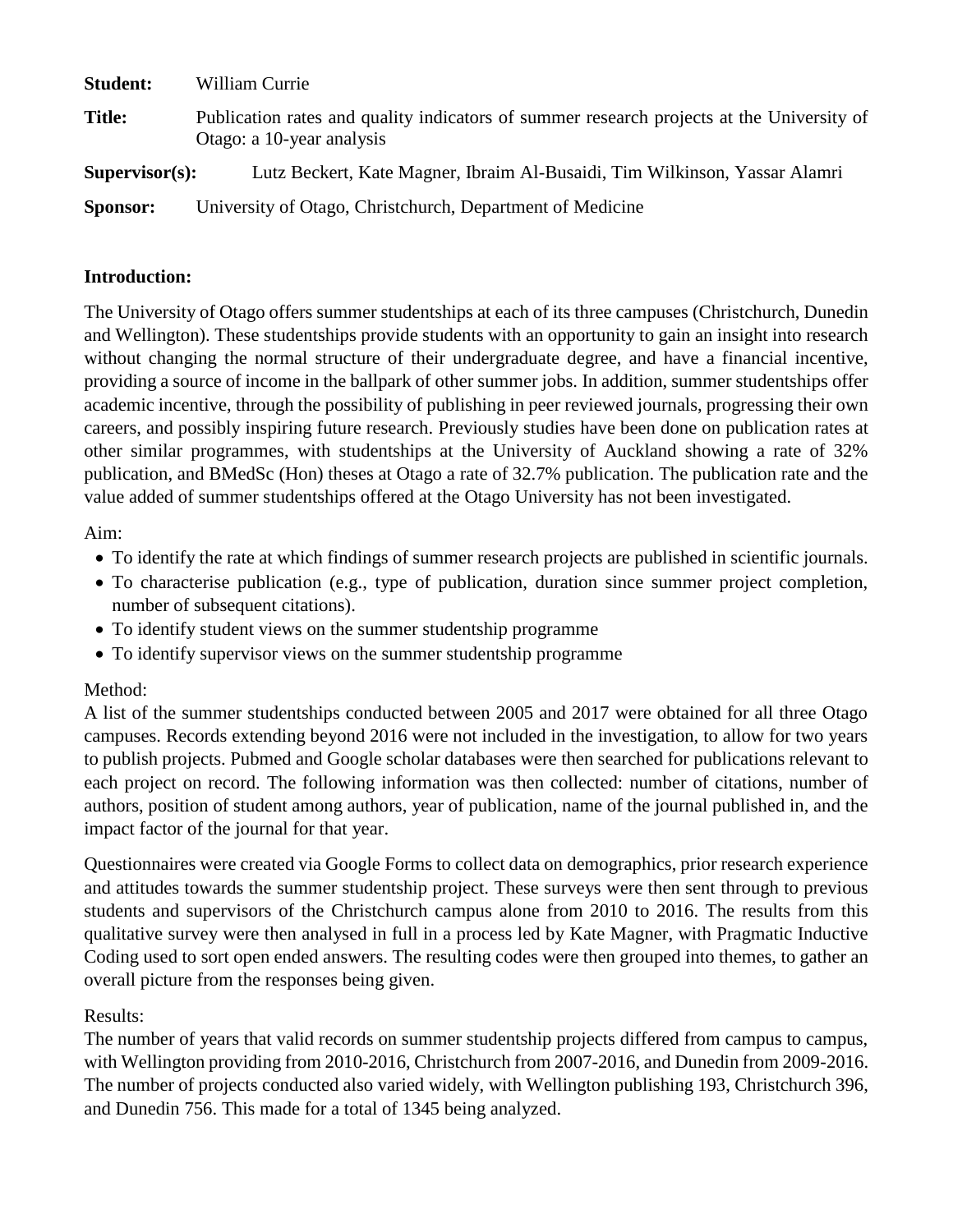| <b>Student:</b>   | William Currie                                                                                                         |
|-------------------|------------------------------------------------------------------------------------------------------------------------|
| <b>Title:</b>     | Publication rates and quality indicators of summer research projects at the University of<br>Otago: a 10-year analysis |
| $Supervisor(s)$ : | Lutz Beckert, Kate Magner, Ibraim Al-Busaidi, Tim Wilkinson, Yassar Alamri                                             |
| <b>Sponsor:</b>   | University of Otago, Christchurch, Department of Medicine                                                              |

#### **Introduction:**

The University of Otago offers summer studentships at each of its three campuses (Christchurch, Dunedin and Wellington). These studentships provide students with an opportunity to gain an insight into research without changing the normal structure of their undergraduate degree, and have a financial incentive, providing a source of income in the ballpark of other summer jobs. In addition, summer studentships offer academic incentive, through the possibility of publishing in peer reviewed journals, progressing their own careers, and possibly inspiring future research. Previously studies have been done on publication rates at other similar programmes, with studentships at the University of Auckland showing a rate of 32% publication, and BMedSc (Hon) theses at Otago a rate of 32.7% publication. The publication rate and the value added of summer studentships offered at the Otago University has not been investigated.

### Aim:

- To identify the rate at which findings of summer research projects are published in scientific journals.
- To characterise publication (e.g., type of publication, duration since summer project completion, number of subsequent citations).
- To identify student views on the summer studentship programme
- To identify supervisor views on the summer studentship programme

### Method:

A list of the summer studentships conducted between 2005 and 2017 were obtained for all three Otago campuses. Records extending beyond 2016 were not included in the investigation, to allow for two years to publish projects. Pubmed and Google scholar databases were then searched for publications relevant to each project on record. The following information was then collected: number of citations, number of authors, position of student among authors, year of publication, name of the journal published in, and the impact factor of the journal for that year.

Questionnaires were created via Google Forms to collect data on demographics, prior research experience and attitudes towards the summer studentship project. These surveys were then sent through to previous students and supervisors of the Christchurch campus alone from 2010 to 2016. The results from this qualitative survey were then analysed in full in a process led by Kate Magner, with Pragmatic Inductive Coding used to sort open ended answers. The resulting codes were then grouped into themes, to gather an overall picture from the responses being given.

### Results:

The number of years that valid records on summer studentship projects differed from campus to campus, with Wellington providing from 2010-2016, Christchurch from 2007-2016, and Dunedin from 2009-2016. The number of projects conducted also varied widely, with Wellington publishing 193, Christchurch 396, and Dunedin 756. This made for a total of 1345 being analyzed.